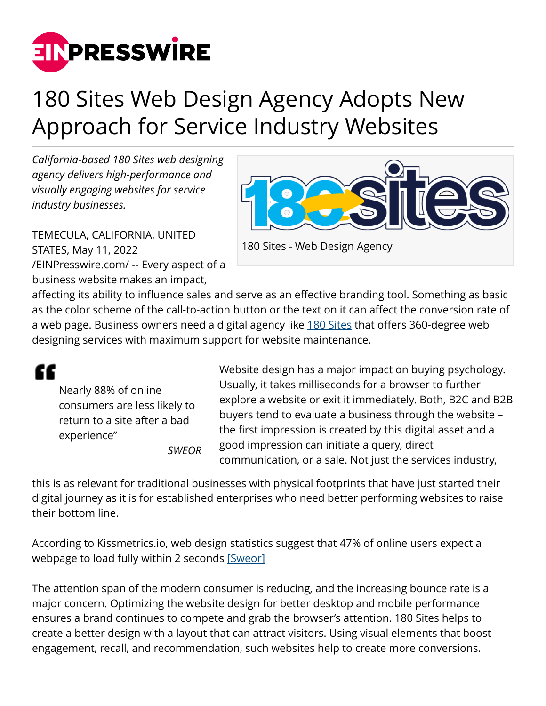

## 180 Sites Web Design Agency Adopts New Approach for Service Industry Websites

*California-based 180 Sites web designing agency delivers high-performance and visually engaging websites for service industry businesses.*



TEMECULA, CALIFORNIA, UNITED STATES, May 11, 2022 [/EINPresswire.com/](http://www.einpresswire.com) -- Every aspect of a business website makes an impact,

affecting its ability to influence sales and serve as an effective branding tool. Something as basic as the color scheme of the call-to-action button or the text on it can affect the conversion rate of a web page. Business owners need a digital agency like [180 Sites](https://180sites.com/) that offers 360-degree web designing services with maximum support for website maintenance.

Nearly 88% of online consumers are less likely to return to a site after a bad experience" *SWEOR*

££

Website design has a major impact on buying psychology. Usually, it takes milliseconds for a browser to further explore a website or exit it immediately. Both, B2C and B2B buyers tend to evaluate a business through the website – the first impression is created by this digital asset and a good impression can initiate a query, direct communication, or a sale. Not just the services industry,

this is as relevant for traditional businesses with physical footprints that have just started their digital journey as it is for established enterprises who need better performing websites to raise their bottom line.

According to Kissmetrics.io, web design statistics suggest that 47% of online users expect a webpage to load fully within 2 seconds [\[Sweor\]](https://www.sweor.com/firstimpressions)

The attention span of the modern consumer is reducing, and the increasing bounce rate is a major concern. Optimizing the website design for better desktop and mobile performance ensures a brand continues to compete and grab the browser's attention. 180 Sites helps to create a better design with a layout that can attract visitors. Using visual elements that boost engagement, recall, and recommendation, such websites help to create more conversions.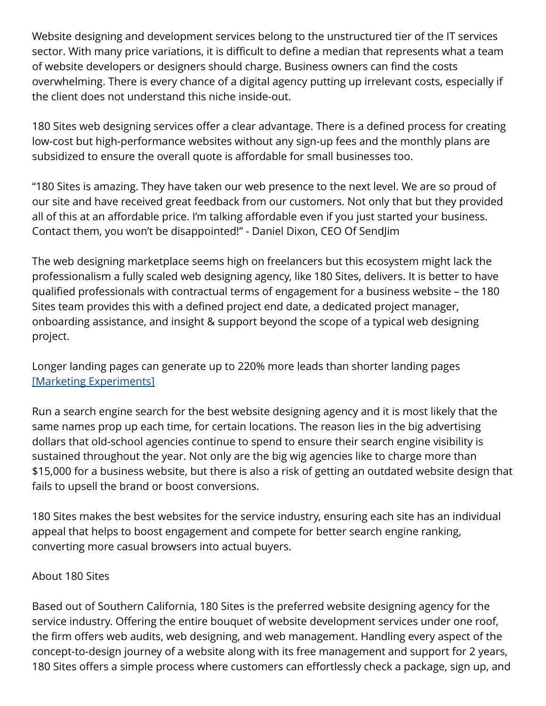Website designing and development services belong to the unstructured tier of the IT services sector. With many price variations, it is difficult to define a median that represents what a team of website developers or designers should charge. Business owners can find the costs overwhelming. There is every chance of a digital agency putting up irrelevant costs, especially if the client does not understand this niche inside-out.

180 Sites web designing services offer a clear advantage. There is a defined process for creating low-cost but high-performance websites without any sign-up fees and the monthly plans are subsidized to ensure the overall quote is affordable for small businesses too.

"180 Sites is amazing. They have taken our web presence to the next level. We are so proud of our site and have received great feedback from our customers. Not only that but they provided all of this at an affordable price. I'm talking affordable even if you just started your business. Contact them, you won't be disappointed!" - Daniel Dixon, CEO Of SendJim

The web designing marketplace seems high on freelancers but this ecosystem might lack the professionalism a fully scaled web designing agency, like 180 Sites, delivers. It is better to have qualified professionals with contractual terms of engagement for a business website – the 180 Sites team provides this with a defined project end date, a dedicated project manager, onboarding assistance, and insight & support beyond the scope of a typical web designing project.

Longer landing pages can generate up to 220% more leads than shorter landing pages [\[Marketing Experiments\]](https://marketingexperiments.com/copywriting/web-usability-long-landing-page)

Run a search engine search for the best website designing agency and it is most likely that the same names prop up each time, for certain locations. The reason lies in the big advertising dollars that old-school agencies continue to spend to ensure their search engine visibility is sustained throughout the year. Not only are the big wig agencies like to charge more than \$15,000 for a business website, but there is also a risk of getting an outdated website design that fails to upsell the brand or boost conversions.

180 Sites makes the best websites for the service industry, ensuring each site has an individual appeal that helps to boost engagement and compete for better search engine ranking, converting more casual browsers into actual buyers.

## About 180 Sites

Based out of Southern California, 180 Sites is the preferred website designing agency for the service industry. Offering the entire bouquet of website development services under one roof, the firm offers web audits, web designing, and web management. Handling every aspect of the concept-to-design journey of a website along with its free management and support for 2 years, 180 Sites offers a simple process where customers can effortlessly check a package, sign up, and